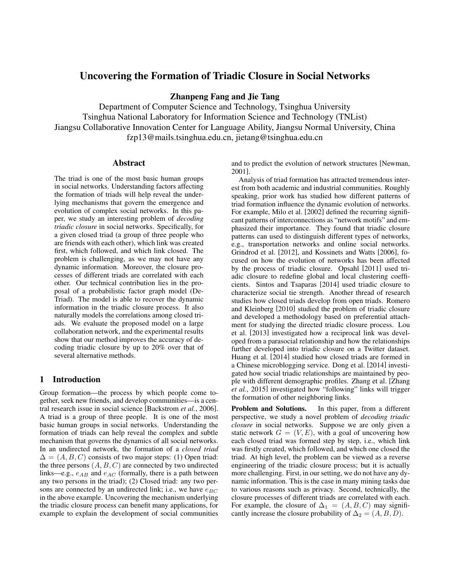# Uncovering the Formation of Triadic Closure in Social Networks

Zhanpeng Fang and Jie Tang

Department of Computer Science and Technology, Tsinghua University Tsinghua National Laboratory for Information Science and Technology (TNList) Jiangsu Collaborative Innovation Center for Language Ability, Jiangsu Normal University, China fzp13@mails.tsinghua.edu.cn, jietang@tsinghua.edu.cn

## Abstract

The triad is one of the most basic human groups in social networks. Understanding factors affecting the formation of triads will help reveal the underlying mechanisms that govern the emergence and evolution of complex social networks. In this paper, we study an interesting problem of *decoding triadic closure* in social networks. Specifically, for a given closed triad (a group of three people who are friends with each other), which link was created first, which followed, and which link closed. The problem is challenging, as we may not have any dynamic information. Moreover, the closure processes of different triads are correlated with each other. Our technical contribution lies in the proposal of a probabilistic factor graph model (De-Triad). The model is able to recover the dynamic information in the triadic closure process. It also naturally models the correlations among closed triads. We evaluate the proposed model on a large collaboration network, and the experimental results show that our method improves the accuracy of decoding triadic closure by up to 20% over that of several alternative methods.

# 1 Introduction

Group formation—the process by which people come together, seek new friends, and develop communities—is a central research issue in social science [Backstrom *et al.*, 2006]. A triad is a group of three people. It is one of the most basic human groups in social networks. Understanding the formation of triads can help reveal the complex and subtle mechanism that governs the dynamics of all social networks. In an undirected network, the formation of a *closed triad*  $\Delta = (A, B, C)$  consists of two major steps: (1) Open triad: the three persons  $(A, B, C)$  are connected by two undirected links—e.g.,  $e_{AB}$  and  $e_{AC}$  (formally, there is a path between any two persons in the triad); (2) Closed triad: any two persons are connected by an undirected link; i.e., we have  $e_{BC}$ in the above example. Uncovering the mechanism underlying the triadic closure process can benefit many applications, for example to explain the development of social communities and to predict the evolution of network structures [Newman, 2001].

Analysis of triad formation has attracted tremendous interest from both academic and industrial communities. Roughly speaking, prior work has studied how different patterns of triad formation influence the dynamic evolution of networks. For example, Milo et al. [2002] defined the recurring significant patterns of interconnections as "network motifs" and emphasized their importance. They found that triadic closure patterns can used to distinguish different types of networks, e.g., transportation networks and online social networks. Grindrod et al. [2012], and Kossinets and Watts [2006], focused on how the evolution of networks has been affected by the process of triadic closure. Opsahl [2011] used triadic closure to redefine global and local clustering coefficients. Sintos and Tsaparas [2014] used triadic closure to characterize social tie strength. Another thread of research studies how closed triads develop from open triads. Romero and Kleinberg [2010] studied the problem of triadic closure and developed a methodology based on preferential attachment for studying the directed triadic closure process. Lou et al. [2013] investigated how a reciprocal link was developed from a parasocial relationship and how the relationships further developed into triadic closure on a Twitter dataset. Huang et al. [2014] studied how closed triads are formed in a Chinese microblogging service. Dong et al. [2014] investigated how social triadic relationships are maintained by people with different demographic profiles. Zhang et al. [Zhang *et al.*, 2015] investigated how "following" links will trigger the formation of other neighboring links.

Problem and Solutions. In this paper, from a different perspective, we study a novel problem of *decoding triadic closure* in social networks. Suppose we are only given a static network  $G = (V, E)$ , with a goal of uncovering how each closed triad was formed step by step, i.e., which link was firstly created, which followed, and which one closed the triad. At high level, the problem can be viewed as a reverse engineering of the triadic closure process; but it is actually more challenging. First, in our setting, we do not have any dynamic information. This is the case in many mining tasks due to various reasons such as privacy. Second, technically, the closure processes of different triads are correlated with each. For example, the closure of  $\Delta_1 = (A, B, C)$  may significantly increase the closure probability of  $\Delta_2 = (A, B, D)$ .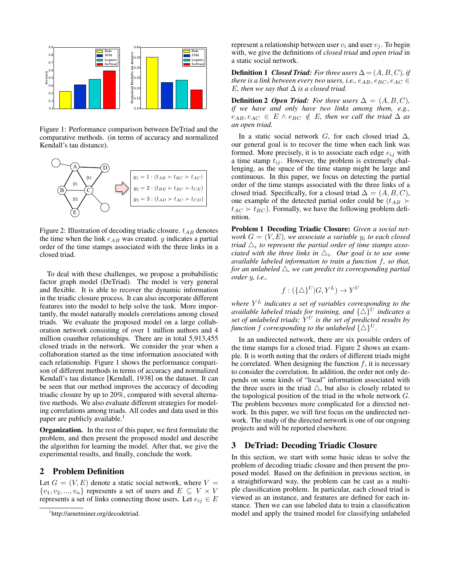

Figure 1: Performance comparison between DeTriad and the comparative methods. (in terms of accuracy and normalized Kendall's tau distance).



Figure 2: Illustration of decoding triadic closure.  $t_{AB}$  denotes the time when the link  $e_{AB}$  was created. y indicates a partial order of the time stamps associated with the three links in a closed triad.

To deal with these challenges, we propose a probabilistic factor graph model (DeTriad). The model is very general and flexible. It is able to recover the dynamic information in the triadic closure process. It can also incorporate different features into the model to help solve the task. More importantly, the model naturally models correlations among closed triads. We evaluate the proposed model on a large collaboration network consisting of over 1 million authors and 4 million coauthor relationships. There are in total 5,913,455 closed triads in the network. We consider the year when a collaboration started as the time information associated with each relationship. Figure 1 shows the performance comparison of different methods in terms of accuracy and normalized Kendall's tau distance [Kendall, 1938] on the dataset. It can be seen that our method improves the accuracy of decoding triadic closure by up to 20%, compared with several alternative methods. We also evaluate different strategies for modeling correlations among triads. All codes and data used in this paper are publicly available.<sup>1</sup>

Organization. In the rest of this paper, we first formulate the problem, and then present the proposed model and describe the algorithm for learning the model. After that, we give the experimental results, and finally, conclude the work.

# 2 Problem Definition

Let  $G = (V, E)$  denote a static social network, where  $V =$  $\{v_1, v_2, ..., v_n\}$  represents a set of users and  $E \subseteq V \times V$ represents a set of links connecting those users. Let  $e_{ij} \in E$  represent a relationship between user  $v_i$  and user  $v_j$ . To begin with, we give the definitions of *closed triad* and *open triad* in a static social network.

**Definition 1** *Closed Triad: For three users*  $\Delta = (A, B, C)$ *, if there is a link between every two users, i.e.,*  $e_{AB}$ ,  $e_{BC}$ ,  $e_{AC}$   $\in$ *E*, then we say that  $\Delta$  *is a closed triad.* 

**Definition 2** *Open Triad: For three users*  $\Delta = (A, B, C)$ *, if we have and only have two links among them, e.g.,*  $e_{AB}, e_{AC} \in E \wedge e_{BC} \notin E$ , then we call the triad  $\Delta$  *as an open triad.*

In a static social network G, for each closed triad  $\Delta$ , our general goal is to recover the time when each link was formed. More precisely, it is to associate each edge  $e_{ij}$  with a time stamp  $t_{ij}$ . However, the problem is extremely challenging, as the space of the time stamp might be large and continuous. In this paper, we focus on detecting the partial order of the time stamps associated with the three links of a closed triad. Specifically, for a closed triad  $\Delta = (A, B, C)$ , one example of the detected partial order could be  $(t_{AB} \succ$  $t_{AC} \succ t_{BC}$ ). Formally, we have the following problem definition.

Problem 1 Decoding Triadic Closure: *Given a social network* G = (V, E)*, we associate a variable* y<sup>i</sup> *to each closed triad*  $\triangle_i$  to represent the partial order of time stamps asso*ciated with the three links in*  $\triangle_i$ *. Our goal is to use some available labeled information to train a function* f*, so that, for an unlabeled*  $\triangle$ , we can predict its corresponding partial *order* y*, i.e.,*

$$
f:(\{\triangle\}^U|G,Y^L)\to Y^U
$$

*where* Y <sup>L</sup> *indicates a set of variables corresponding to the available labeled triads for training, and*  $\{\Delta\}^U$  *indicates a set of unlabeled triads;* Y <sup>U</sup> *is the set of predicted results by function* f *corresponding to the unlabeled*  $\{\triangle\}^U$ *.* 

In an undirected network, there are six possible orders of the time stamps for a closed triad. Figure 2 shows an example. It is worth noting that the orders of different triads might be correlated. When designing the function  $f$ , it is necessary to consider the correlation. In addition, the order not only depends on some kinds of "local" information associated with the three users in the triad  $\triangle$ , but also is closely related to the topological position of the triad in the whole network  $G$ . The problem becomes more complicated for a directed network. In this paper, we will first focus on the undirected network. The study of the directed network is one of our ongoing projects and will be reported elsewhere.

#### 3 DeTriad: Decoding Triadic Closure

In this section, we start with some basic ideas to solve the problem of decoding triadic closure and then present the proposed model. Based on the definition in previous section, in a straightforward way, the problem can be cast as a multiple classification problem. In particular, each closed triad is viewed as an instance, and features are defined for each instance. Then we can use labeled data to train a classification model and apply the trained model for classifying unlabeled

<sup>1</sup> http://arnetminer.org/decodetriad.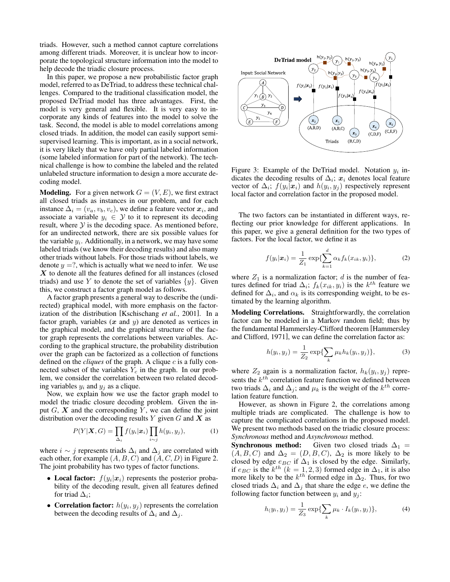triads. However, such a method cannot capture correlations among different triads. Moreover, it is unclear how to incorporate the topological structure information into the model to help decode the triadic closure process.

In this paper, we propose a new probabilistic factor graph model, referred to as DeTriad, to address these technical challenges. Compared to the traditional classification model, the proposed DeTriad model has three advantages. First, the model is very general and flexible. It is very easy to incorporate any kinds of features into the model to solve the task. Second, the model is able to model correlations among closed triads. In addition, the model can easily support semisupervised learning. This is important, as in a social network, it is very likely that we have only partial labeled information (some labeled information for part of the network). The technical challenge is how to combine the labeled and the related unlabeled structure information to design a more accurate decoding model.

**Modeling.** For a given network  $G = (V, E)$ , we first extract all closed triads as instances in our problem, and for each instance  $\Delta_i = (v_a, v_b, v_c)$ , we define a feature vector  $x_i$ , and associate a variable  $y_i \in \mathcal{Y}$  to it to represent its decoding result, where  $Y$  is the decoding space. As mentioned before, for an undirected network, there are six possible values for the variable  $y_i$ . Additionally, in a network, we may have some labeled triads (we know their decoding results) and also many other triads without labels. For those triads without labels, we denote  $y = ?$ , which is actually what we need to infer. We use X to denote all the features defined for all instances (closed triads) and use Y to denote the set of variables  $\{y\}$ . Given this, we construct a factor graph model as follows.

A factor graph presents a general way to describe the (undirected) graphical model, with more emphasis on the factorization of the distribution [Kschischang *et al.*, 2001]. In a factor graph, variables  $(x \text{ and } y)$  are denoted as vertices in the graphical model, and the graphical structure of the factor graph represents the correlations between variables. According to the graphical structure, the probability distribution over the graph can be factorized as a collection of functions defined on the *cliques* of the graph. A clique c is a fully connected subset of the variables  $Y_c$  in the graph. In our problem, we consider the correlation between two related decoding variables  $y_i$  and  $y_j$  as a clique.

Now, we explain how we use the factor graph model to model the triadic closure decoding problem. Given the input  $G, X$  and the corresponding Y, we can define the joint distribution over the decoding results  $Y$  given  $G$  and  $X$  as

$$
P(Y|\boldsymbol{X}, G) = \prod_{\Delta_i} f(y_i|\boldsymbol{x}_i) \prod_{i \sim j} h(y_i, y_j), \qquad (1)
$$

where  $i \sim j$  represents triads  $\Delta_i$  and  $\Delta_j$  are correlated with each other, for example  $(A, B, C)$  and  $(A, C, D)$  in Figure 2. The joint probability has two types of factor functions.

- Local factor:  $f(y_i|x_i)$  represents the posterior probability of the decoding result, given all features defined for triad  $\Delta_i$ ;
- Correlation factor:  $h(y_i, y_j)$  represents the correlation between the decoding results of  $\Delta_i$  and  $\Delta_j$ .



Figure 3: Example of the DeTriad model. Notation  $y_i$  indicates the decoding results of  $\Delta_i$ ;  $x_i$  denotes local feature vector of  $\Delta_i$ ;  $f(y_i|\mathbf{x}_i)$  and  $h(y_i, y_j)$  respectively represent local factor and correlation factor in the proposed model.

The two factors can be instantiated in different ways, reflecting our prior knowledge for different applications. In this paper, we give a general definition for the two types of factors. For the local factor, we define it as

$$
f(y_i|\bm{x}_i) = \frac{1}{Z_1} \exp\{\sum_{k=1}^d \alpha_k f_k(x_{ik}, y_i)\},\tag{2}
$$

where  $Z_1$  is a normalization factor; d is the number of features defined for triad  $\Delta_i$ ;  $f_k(x_{ik}, y_i)$  is the  $k^{th}$  feature we defined for  $\Delta_i$ , and  $\alpha_k$  is its corresponding weight, to be estimated by the learning algorithm.

Modeling Correlations. Straightforwardly, the correlation factor can be modeled in a Markov random field; thus by the fundamental Hammersley-Clifford theorem [Hammersley and Clifford, 1971], we can define the correlation factor as:

$$
h(y_i, y_j) = \frac{1}{Z_2} \exp\{\sum_k \mu_k h_k(y_i, y_j)\},\tag{3}
$$

where  $Z_2$  again is a normalization factor,  $h_k(y_i, y_j)$  represents the  $k^{th}$  correlation feature function we defined between two triads  $\Delta_i$  and  $\Delta_j$ ; and  $\mu_k$  is the weight of the  $k^{th}$  correlation feature function.

However, as shown in Figure 2, the correlations among multiple triads are complicated. The challenge is how to capture the complicated correlations in the proposed model. We present two methods based on the triadic closure process: *Synchronous* method and *Asynchronous* method.

**Synchronous method:** Given two closed triads  $\Delta_1$  =  $(A, B, C)$  and  $\Delta_2 = (D, B, C)$ ,  $\Delta_2$  is more likely to be closed by edge  $e_{BC}$  if  $\Delta_1$  is closed by the edge. Similarly, if  $e_{BC}$  is the  $k^{th}$   $(k = 1, 2, 3)$  formed edge in  $\Delta_1$ , it is also more likely to be the  $k^{th}$  formed edge in  $\Delta_2$ . Thus, for two closed triads  $\Delta_i$  and  $\Delta_j$  that share the edge e, we define the following factor function between  $y_i$  and  $y_j$ :

$$
h(y_i, y_j) = \frac{1}{Z_3} \exp\{\sum_k \mu_k \cdot I_k(y_i, y_j)\},\tag{4}
$$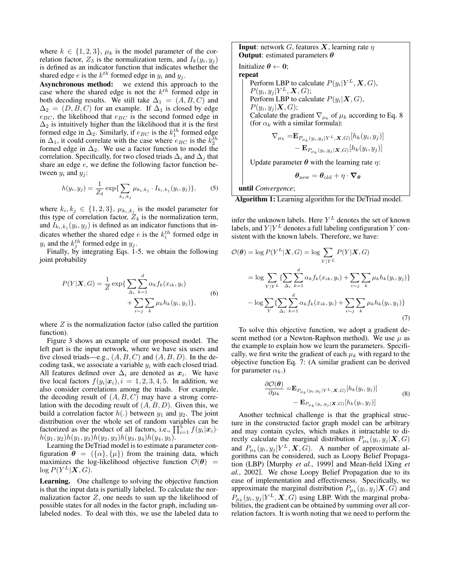where  $k \in \{1, 2, 3\}$ ,  $\mu_k$  is the model parameter of the correlation factor,  $Z_3$  is the normalization term, and  $I_k(y_i, y_j)$ is defined as an indicator function that indicates whether the shared edge *e* is the  $k^{th}$  formed edge in  $y_i$  and  $y_j$ .

Asynchronous method: we extend this approach to the case where the shared edge is not the  $k^{th}$  formed edge in both decoding results. We still take  $\Delta_1 = (A, B, C)$  and  $\Delta_2 = (D, B, C)$  for an example. If  $\Delta_1$  is closed by edge  $e_{BC}$ , the likelihood that  $e_{BC}$  is the second formed edge in  $\Delta_2$  is intuitively higher than the likelihood that it is the first formed edge in  $\Delta_2$ . Similarly, if  $e_{BC}$  is the  $k_1^{th}$  formed edge in  $\Delta_1$ , it could correlate with the case where  $e_{BC}$  is the  $k_2^{th}$ formed edge in  $\Delta_2$ . We use a factor function to model the correlation. Specifically, for two closed triads  $\Delta_i$  and  $\Delta_j$  that share an edge  $e$ , we define the following factor function between  $y_i$  and  $y_j$ :

$$
h(y_i, y_j) = \frac{1}{Z_4} \exp\{\sum_{k_i, k_j} \mu_{k_i, k_j} \cdot I_{k_i, k_j}(y_i, y_j)\},\tag{5}
$$

where  $k_i, k_j \in \{1, 2, 3\}, \mu_{k_i, k_j}$  is the model parameter for this type of correlation factor,  $Z_4$  is the normalization term, and  $I_{k_i,k_j}(y_i, y_j)$  is defined as an indicator functions that indicates whether the shared edge  $e$  is the  $k_i^{th}$  formed edge in  $y_i$  and the  $k_j^{th}$  formed edge in  $y_j$ .

Finally, by integrating Eqs. 1-5, we obtain the following joint probability

$$
P(Y|\boldsymbol{X}, G) = \frac{1}{Z} \exp\left\{\sum_{\Delta_i} \sum_{k=1}^d \alpha_k f_k(x_{ik}, y_i) + \sum_{i \sim j} \sum_k \mu_k h_k(y_i, y_j)\right\},\tag{6}
$$

where  $Z$  is the normalization factor (also called the partition function).

Figure 3 shows an example of our proposed model. The left part is the input network, where we have six users and five closed triads—e.g.,  $(A, B, C)$  and  $(A, B, D)$ . In the decoding task, we associate a variable  $y_i$  with each closed triad. All features defined over  $\Delta_i$  are denoted as  $x_i$ . We have five local factors  $f(y_i|\mathbf{x}_i)$ ,  $i = 1, 2, 3, 4, 5$ . In addition, we also consider correlations among the triads. For example, the decoding result of  $(A, B, C)$  may have a strong correlation with the decoding result of  $(A, B, D)$ . Given this, we build a correlation factor  $h(.)$  between  $y_1$  and  $y_2$ . The joint distribution over the whole set of random variables can be factorized as the product of all factors, i.e.,  $\prod_{i=1}^{5} f(y_i | x_i)$ .  $h(y_1, y_2)h(y_1, y_3)h(y_2, y_3)h(y_3, y_4)h(y_4, y_5).$ 

Learning the DeTriad model is to estimate a parameter configuration  $\theta = (\{\alpha\}, \{\mu\})$  from the training data, which maximizes the log-likelihood objective function  $\mathcal{O}(\theta)$  =  $\log P(Y^L|\boldsymbol{X}, G)$ .

Learning. One challenge to solving the objective function is that the input data is partially labeled. To calculate the normalization factor  $Z$ , one needs to sum up the likelihood of possible states for all nodes in the factor graph, including unlabeled nodes. To deal with this, we use the labeled data to **Input:** network G, features **X**, learning rate  $\eta$ **Output:** estimated parameters  $\theta$ 

Initialize  $\theta \leftarrow 0$ ; repeat Perform LBP to calculate  $P(y_i|Y^L, X, G)$ ,  $P(y_i, y_j | Y^L, \mathbf{X}, G);$ Perform LBP to calculate  $P(y_i|\mathbf{X}, G)$ ,  $P(y_i, y_j | \mathbf{X}, G);$ Calculate the gradient  $\nabla_{\mu_k}$  of  $\mu_k$  according to Eq. 8 (for  $\alpha_k$  with a similar formula):

$$
\nabla_{\mu_k} = \mathbf{E}_{P_{\mu_k}(y_i, y_j | Y^L, \mathbf{X}, G)}[h_k(y_i, y_j)]
$$
  
- 
$$
\mathbf{E}_{P_{\mu_k}(y_i, y_j | \mathbf{X}, G)}[h_k(y_i, y_j)]
$$

Update parameter  $\theta$  with the learning rate  $\eta$ :

$$
\boldsymbol{\theta}_{\text{new}} = \boldsymbol{\theta}_{\text{old}} + \eta \cdot \boldsymbol{\nabla}_{\boldsymbol{\theta}}
$$

until *Convergence*;

Algorithm 1: Learning algorithm for the DeTriad model.

infer the unknown labels. Here  $Y^L$  denotes the set of known labels, and  $Y|Y^L$  denotes a full labeling configuration Y consistent with the known labels. Therefore, we have:

$$
\mathcal{O}(\boldsymbol{\theta}) = \log P(Y^L | \mathbf{X}, G) = \log \sum_{Y|Y^L} P(Y | \mathbf{X}, G)
$$

$$
= \log \sum_{Y|Y^L} \left\{ \sum_{\Delta_i} \sum_{k=1}^d \alpha_k f_k(x_{ik}, y_i) + \sum_{i \sim j} \sum_k \mu_k h_k(y_i, y_j) \right\}
$$

$$
- \log \sum_{Y} \left\{ \sum_{\Delta_i} \sum_{k=1}^d \alpha_k f_k(x_{ik}, y_i) + \sum_{i \sim j} \sum_k \mu_k h_k(y_i, y_j) \right\}
$$
(7)

To solve this objective function, we adopt a gradient descent method (or a Newton-Raphson method). We use  $\mu$  as the example to explain how we learn the parameters. Specifically, we first write the gradient of each  $\mu_k$  with regard to the objective function Eq. 7: (A similar gradient can be derived for parameter  $\alpha_k$ .)

$$
\frac{\partial \mathcal{O}(\boldsymbol{\theta})}{\partial \mu_k} = \mathbf{E}_{P_{\mu_k}(y_i, y_j | Y^L, \mathbf{X}, G)}[h_k(y_i, y_j)] \n- \mathbf{E}_{P_{\mu_k}(y_i, y_j | \mathbf{X}, G)}[h_k(y_i, y_j)]
$$
\n(8)

Another technical challenge is that the graphical structure in the constructed factor graph model can be arbitrary and may contain cycles, which makes it intractable to directly calculate the marginal distribution  $P_{\mu_k}(y_i, y_j | \mathbf{X}, G)$ and  $P_{\mu_k}(y_i, y_j | Y^L, X, G)$ . A number of approximate algorithms can be considered, such as Loopy Belief Propagation (LBP) [Murphy *et al.*, 1999] and Mean-field [Xing *et al.*, 2002]. We chose Loopy Belief Propagation due to its ease of implementation and effectiveness. Specifically, we approximate the marginal distribution  $P_{\mu_k}(y_i, y_j | \mathbf{X}, G)$  and  $P_{\mu_k}(y_i, y_j | Y^L, X, G)$  using LBP. With the marginal probabilities, the gradient can be obtained by summing over all correlation factors. It is worth noting that we need to perform the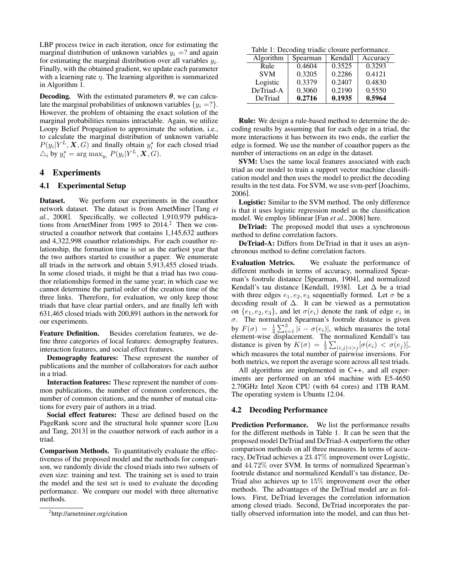LBP process twice in each iteration, once for estimating the marginal distribution of unknown variables  $y_i = ?$  and again for estimating the marginal distribution over all variables  $y_i$ . Finally, with the obtained gradient, we update each parameter with a learning rate  $\eta$ . The learning algorithm is summarized in Algorithm 1.

**Decoding.** With the estimated parameters  $\theta$ , we can calculate the marginal probabilities of unknown variables  $\{y_i = ?\}$ . However, the problem of obtaining the exact solution of the marginal probabilities remains intractable. Again, we utilize Loopy Belief Propagation to approximate the solution, i.e., to calculate the marginal distribution of unknown variable  $P(y_i|Y^L, X, G)$  and finally obtain  $y_i^*$  for each closed triad  $\triangle_i$  by  $y_i^* = \arg \max_{y_i} P(y_i|Y^L, \mathbf{X}, G).$ 

## 4 Experiments

### 4.1 Experimental Setup

Dataset. We perform our experiments in the coauthor network dataset. The dataset is from ArnetMiner [Tang *et al.*, 2008]. Specifically, we collected 1,910,979 publications from ArnetMiner from 1995 to 2014.<sup>2</sup> Then we constructed a coauthor network that contains 1,145,632 authors and 4,322,998 coauthor relationships. For each coauthor relationship, the formation time is set as the earliest year that the two authors started to coauthor a paper. We enumerate all triads in the network and obtain 5,913,455 closed triads. In some closed triads, it might be that a triad has two coauthor relationships formed in the same year; in which case we cannot determine the partial order of the creation time of the three links. Therefore, for evaluation, we only keep those triads that have clear partial orders, and are finally left with 631,465 closed triads with 200,891 authors in the network for our experiments.

Feature Definition. Besides correlation features, we define three categories of local features: demography features, interaction features, and social effect features.

Demography features: These represent the number of publications and the number of collaborators for each author in a triad.

Interaction features: These represent the number of common publications, the number of common conferences, the number of common citations, and the number of mutual citations for every pair of authors in a triad.

Social effect features: These are defined based on the PageRank score and the structural hole spanner score [Lou and Tang, 2013] in the coauthor network of each author in a triad.

Comparison Methods. To quantitatively evaluate the effectiveness of the proposed model and the methods for comparison, we randomly divide the closed triads into two subsets of even size: training and test. The training set is used to train the model and the test set is used to evaluate the decoding performance. We compare our model with three alternative methods.

Table 1: Decoding triadic closure performance.

| Algorithm  | Spearman | Kendall | Accuracy |
|------------|----------|---------|----------|
| Rule       | 0.4604   | 0.3525  | 0.3293   |
| <b>SVM</b> | 0.3205   | 0.2286  | 0.4121   |
| Logistic   | 0.3379   | 0.2407  | 0.4830   |
| DeTriad-A  | 0.3060   | 0.2190  | 0.5550   |
| DeTriad    | 0.2716   | 0.1935  | 0.5964   |

Rule: We design a rule-based method to determine the decoding results by assuming that for each edge in a triad, the more interactions it has between its two ends, the earlier the edge is formed. We use the number of coauthor papers as the number of interactions on an edge in the dataset.

SVM: Uses the same local features associated with each triad as our model to train a support vector machine classification model and then uses the model to predict the decoding results in the test data. For SVM, we use svm-perf [Joachims, 2006].

Logistic: Similar to the SVM method. The only difference is that it uses logistic regression model as the classification model. We employ liblinear [Fan *et al.*, 2008] here.

DeTriad: The proposed model that uses a synchronous method to define correlation factors.

DeTriad-A: Differs from DeTriad in that it uses an asynchronous method to define correlation factors.

Evaluation Metrics. We evaluate the performance of different methods in terms of accuracy, normalized Spearman's footrule distance [Spearman, 1904], and normalized Kendall's tau distance [Kendall, 1938]. Let  $\Delta$  be a triad with three edges  $e_1, e_2, e_3$  sequentially formed. Let  $\sigma$  be a decoding result of ∆. It can be viewed as a permutation on  $\{e_1, e_2, e_3\}$ , and let  $\sigma(e_i)$  denote the rank of edge  $e_i$  in  $\sigma$ . The normalized Spearman's footrule distance is given by  $F(\sigma) = \frac{1}{4} \sum_{i=1}^{3} |i - \sigma(e_i)|$ , which measures the total element-wise displacement. The normalized Kendall's tau distance is given by  $K(\sigma) = \frac{1}{3} \sum_{(i,j):i>j} [\sigma(e_i) < \sigma(e_j)],$ which measures the total number of pairwise inversions. For both metrics, we report the average score across all test triads.

All algorithms are implemented in C++, and all experiments are performed on an x64 machine with E5-4650 2.70GHz Intel Xeon CPU (with 64 cores) and 1TB RAM. The operating system is Ubuntu 12.04.

#### 4.2 Decoding Performance

Prediction Performance. We list the performance results for the different methods in Table 1. It can be seen that the proposed model DeTriad and DeTriad-A outperform the other comparison methods on all three measures. In terms of accuracy, DeTriad achieves a 23.47% improvement over Logistic, and 44.72% over SVM. In terms of normalized Spearman's footrule distance and normalized Kendall's tau distance, De-Triad also achieves up to 15% improvement over the other methods. The advantages of the DeTriad model are as follows. First, DeTriad leverages the correlation information among closed triads. Second, DeTriad incorporates the partially observed information into the model, and can thus bet-

<sup>2</sup> http://arnetminer.org/citation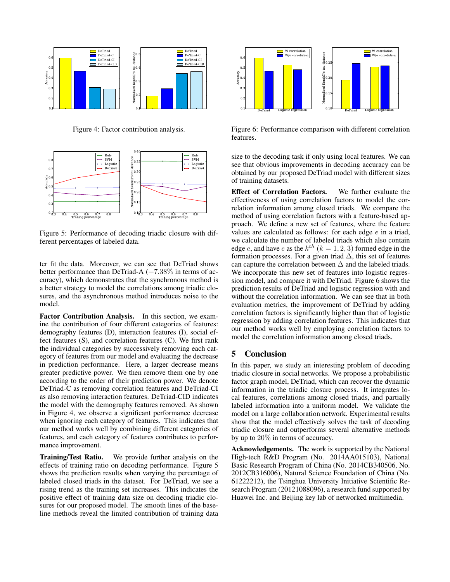

Figure 4: Factor contribution analysis.



Figure 5: Performance of decoding triadic closure with different percentages of labeled data.

ter fit the data. Moreover, we can see that DeTriad shows better performance than DeTriad-A  $(+7.38\%$  in terms of accuracy), which demonstrates that the synchronous method is a better strategy to model the correlations among triadic closures, and the asynchronous method introduces noise to the model.

Factor Contribution Analysis. In this section, we examine the contribution of four different categories of features: demography features (D), interaction features (I), social effect features (S), and correlation features (C). We first rank the individual categories by successively removing each category of features from our model and evaluating the decrease in prediction performance. Here, a larger decrease means greater predictive power. We then remove them one by one according to the order of their prediction power. We denote DeTriad-C as removing correlation features and DeTriad-CI as also removing interaction features. DeTriad-CID indicates the model with the demography features removed. As shown in Figure 4, we observe a significant performance decrease when ignoring each category of features. This indicates that our method works well by combining different categories of features, and each category of features contributes to performance improvement.

Training/Test Ratio. We provide further analysis on the effects of training ratio on decoding performance. Figure 5 shows the prediction results when varying the percentage of labeled closed triads in the dataset. For DeTriad, we see a rising trend as the training set increases. This indicates the positive effect of training data size on decoding triadic closures for our proposed model. The smooth lines of the baseline methods reveal the limited contribution of training data



Figure 6: Performance comparison with different correlation features.

size to the decoding task if only using local features. We can see that obvious improvements in decoding accuracy can be obtained by our proposed DeTriad model with different sizes of training datasets.

Effect of Correlation Factors. We further evaluate the effectiveness of using correlation factors to model the correlation information among closed triads. We compare the method of using correlation factors with a feature-based approach. We define a new set of features, where the feature values are calculated as follows: for each edge  $e$  in a triad, we calculate the number of labeled triads which also contain edge *e*, and have *e* as the  $k^{th}$   $(k = 1, 2, 3)$  formed edge in the formation processes. For a given triad  $\Delta$ , this set of features can capture the correlation between  $\Delta$  and the labeled triads. We incorporate this new set of features into logistic regression model, and compare it with DeTriad. Figure 6 shows the prediction results of DeTriad and logistic regression with and without the correlation information. We can see that in both evaluation metrics, the improvement of DeTriad by adding correlation factors is significantly higher than that of logistic regression by adding correlation features. This indicates that our method works well by employing correlation factors to model the correlation information among closed triads.

## 5 Conclusion

In this paper, we study an interesting problem of decoding triadic closure in social networks. We propose a probabilistic factor graph model, DeTriad, which can recover the dynamic information in the triadic closure process. It integrates local features, correlations among closed triads, and partially labeled information into a uniform model. We validate the model on a large collaboration network. Experimental results show that the model effectively solves the task of decoding triadic closure and outperforms several alternative methods by up to 20% in terms of accuracy.

Acknowledgements. The work is supported by the National High-tech R&D Program (No. 2014AA015103), National Basic Research Program of China (No. 2014CB340506, No. 2012CB316006), Natural Science Foundation of China (No. 61222212), the Tsinghua University Initiative Scientific Research Program (20121088096), a research fund supported by Huawei Inc. and Beijing key lab of networked multimedia.